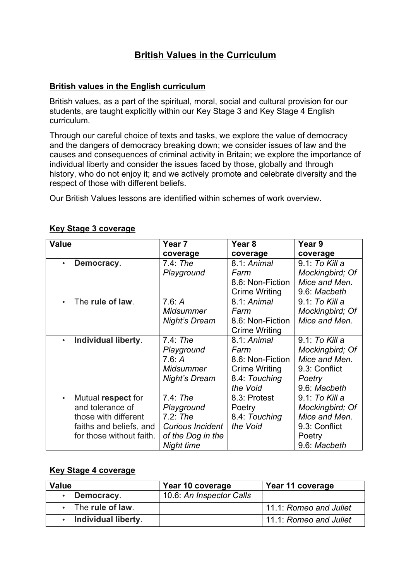# **British Values in the Curriculum**

## **British values in the English curriculum**

British values, as a part of the spiritual, moral, social and cultural provision for our students, are taught explicitly within our Key Stage 3 and Key Stage 4 English curriculum.

Through our careful choice of texts and tasks, we explore the value of democracy and the dangers of democracy breaking down; we consider issues of law and the causes and consequences of criminal activity in Britain; we explore the importance of individual liberty and consider the issues faced by those, globally and through history, who do not enjoy it; and we actively promote and celebrate diversity and the respect of those with different beliefs.

Our British Values lessons are identified within schemes of work overview.

| <b>Value</b>                     | Year 7                  | Year <sub>8</sub>    | Year 9          |
|----------------------------------|-------------------------|----------------------|-----------------|
|                                  | coverage                | coverage             | coverage        |
| Democracy.<br>$\bullet$          | $7.4:$ The              | 8.1: Animal          | 9.1: To Kill a  |
|                                  | Playground              | Farm                 | Mockingbird; Of |
|                                  |                         | 8.6: Non-Fiction     | Mice and Men.   |
|                                  |                         | <b>Crime Writing</b> | 9.6: Macbeth    |
| The rule of law.                 | 7.6: A                  | 8.1: Animal          | 9.1: To Kill a  |
|                                  | <b>Midsummer</b>        | Farm                 | Mockingbird; Of |
|                                  | Night's Dream           | 8.6: Non-Fiction     | Mice and Men.   |
|                                  |                         | <b>Crime Writing</b> |                 |
| Individual liberty.<br>$\bullet$ | $7.4$ : The             | 8.1: Animal          | 9.1: To Kill a  |
|                                  | Playground              | Farm                 | Mockingbird; Of |
|                                  | 7.6: A                  | 8.6: Non-Fiction     | Mice and Men.   |
|                                  | <b>Midsummer</b>        | <b>Crime Writing</b> | 9.3: Conflict   |
|                                  | <b>Night's Dream</b>    | 8.4: Touching        | Poetry          |
|                                  |                         | the Void             | 9.6: Macbeth    |
| Mutual respect for               | $7.4$ : The             | 8.3: Protest         | 9.1: To Kill a  |
| and tolerance of                 | Playground              | Poetry               | Mockingbird; Of |
| those with different             | $7.2:$ The              | 8.4: Touching        | Mice and Men.   |
| faiths and beliefs, and          | <b>Curious Incident</b> | the Void             | 9.3: Conflict   |
| for those without faith.         | of the Dog in the       |                      | Poetry          |
|                                  | Night time              |                      | 9.6: Macbeth    |

## **Key Stage 3 coverage**

### **Key Stage 4 coverage**

| Value                    | Year 10 coverage         | Year 11 coverage       |
|--------------------------|--------------------------|------------------------|
| Democracy.               | 10.6: An Inspector Calls |                        |
| $\cdot$ The rule of law. |                          | 11.1: Romeo and Juliet |
| Individual liberty.      |                          | 11.1: Romeo and Juliet |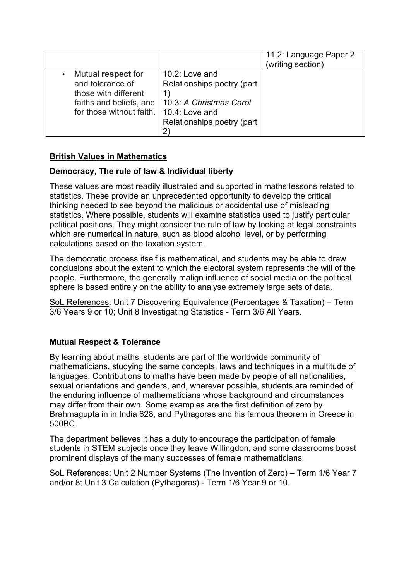|                                                                                                                       |                                                                                                                         | 11.2: Language Paper 2<br>(writing section) |
|-----------------------------------------------------------------------------------------------------------------------|-------------------------------------------------------------------------------------------------------------------------|---------------------------------------------|
| Mutual respect for<br>and tolerance of<br>those with different<br>faiths and beliefs, and<br>for those without faith. | 10.2: Love and<br>Relationships poetry (part<br>10.3: A Christmas Carol<br>10.4: Love and<br>Relationships poetry (part |                                             |

## **British Values in Mathematics**

## **Democracy, The rule of law & Individual liberty**

These values are most readily illustrated and supported in maths lessons related to statistics. These provide an unprecedented opportunity to develop the critical thinking needed to see beyond the malicious or accidental use of misleading statistics. Where possible, students will examine statistics used to justify particular political positions. They might consider the rule of law by looking at legal constraints which are numerical in nature, such as blood alcohol level, or by performing calculations based on the taxation system.

The democratic process itself is mathematical, and students may be able to draw conclusions about the extent to which the electoral system represents the will of the people. Furthermore, the generally malign influence of social media on the political sphere is based entirely on the ability to analyse extremely large sets of data.

SoL References: Unit 7 Discovering Equivalence (Percentages & Taxation) – Term 3/6 Years 9 or 10; Unit 8 Investigating Statistics - Term 3/6 All Years.

# **Mutual Respect & Tolerance**

By learning about maths, students are part of the worldwide community of mathematicians, studying the same concepts, laws and techniques in a multitude of languages. Contributions to maths have been made by people of all nationalities, sexual orientations and genders, and, wherever possible, students are reminded of the enduring influence of mathematicians whose background and circumstances may differ from their own. Some examples are the first definition of zero by Brahmagupta in in India 628, and Pythagoras and his famous theorem in Greece in 500BC.

The department believes it has a duty to encourage the participation of female students in STEM subjects once they leave Willingdon, and some classrooms boast prominent displays of the many successes of female mathematicians.

SoL References: Unit 2 Number Systems (The Invention of Zero) – Term 1/6 Year 7 and/or 8; Unit 3 Calculation (Pythagoras) - Term 1/6 Year 9 or 10.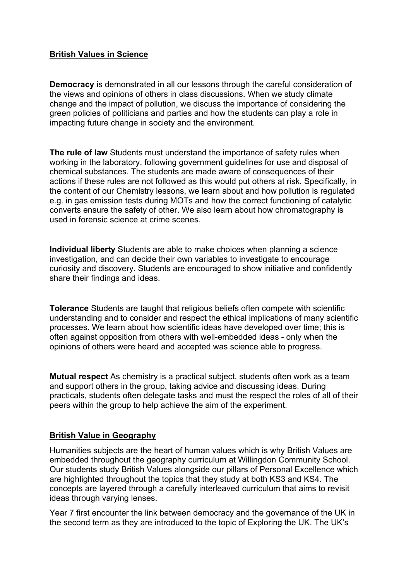## **British Values in Science**

**Democracy** is demonstrated in all our lessons through the careful consideration of the views and opinions of others in class discussions. When we study climate change and the impact of pollution, we discuss the importance of considering the green policies of politicians and parties and how the students can play a role in impacting future change in society and the environment.

**The rule of law** Students must understand the importance of safety rules when working in the laboratory, following government guidelines for use and disposal of chemical substances. The students are made aware of consequences of their actions if these rules are not followed as this would put others at risk. Specifically, in the content of our Chemistry lessons, we learn about and how pollution is regulated e.g. in gas emission tests during MOTs and how the correct functioning of catalytic converts ensure the safety of other. We also learn about how chromatography is used in forensic science at crime scenes.

**Individual liberty** Students are able to make choices when planning a science investigation, and can decide their own variables to investigate to encourage curiosity and discovery. Students are encouraged to show initiative and confidently share their findings and ideas.

**Tolerance** Students are taught that religious beliefs often compete with scientific understanding and to consider and respect the ethical implications of many scientific processes. We learn about how scientific ideas have developed over time; this is often against opposition from others with well-embedded ideas - only when the opinions of others were heard and accepted was science able to progress.

**Mutual respect** As chemistry is a practical subject, students often work as a team and support others in the group, taking advice and discussing ideas. During practicals, students often delegate tasks and must the respect the roles of all of their peers within the group to help achieve the aim of the experiment.

### **British Value in Geography**

Humanities subjects are the heart of human values which is why British Values are embedded throughout the geography curriculum at Willingdon Community School. Our students study British Values alongside our pillars of Personal Excellence which are highlighted throughout the topics that they study at both KS3 and KS4. The concepts are layered through a carefully interleaved curriculum that aims to revisit ideas through varying lenses.

Year 7 first encounter the link between democracy and the governance of the UK in the second term as they are introduced to the topic of Exploring the UK. The UK's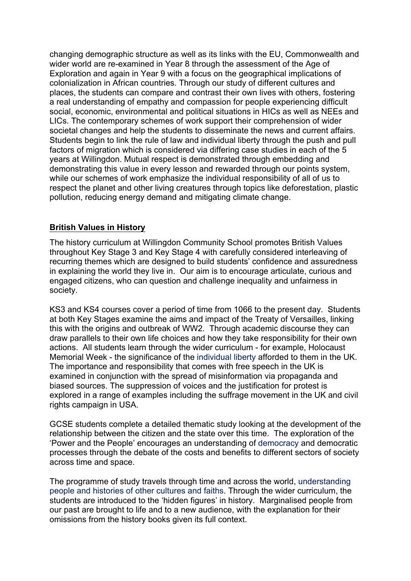changing demographic structure as well as its links with the EU, Commonwealth and wider world are re-examined in Year 8 through the assessment of the Age of Exploration and again in Year 9 with a focus on the geographical implications of colonialization in African countries. Through our study of different cultures and places, the students can compare and contrast their own lives with others, fostering a real understanding of empathy and compassion for people experiencing difficult social, economic, environmental and political situations in HICs as well as NEEs and LICs. The contemporary schemes of work support their comprehension of wider societal changes and help the students to disseminate the news and current affairs. Students begin to link the rule of law and individual liberty through the push and pull factors of migration which is considered via differing case studies in each of the 5 years at Willingdon. Mutual respect is demonstrated through embedding and demonstrating this value in every lesson and rewarded through our points system, while our schemes of work emphasize the individual responsibility of all of us to respect the planet and other living creatures through topics like deforestation, plastic pollution, reducing energy demand and mitigating climate change.

## **British Values in History**

The history curriculum at Willingdon Community School promotes British Values throughout Key Stage 3 and Key Stage 4 with carefully considered interleaving of recurring themes which are designed to build students' confidence and assuredness in explaining the world they live in. Our aim is to encourage articulate, curious and engaged citizens, who can question and challenge inequality and unfairness in society.

KS3 and KS4 courses cover a period of time from 1066 to the present day. Students at both Key Stages examine the aims and impact of the Treaty of Versailles, linking this with the origins and outbreak of WW2. Through academic discourse they can draw parallels to their own life choices and how they take responsibility for their own actions. All students learn through the wider curriculum - for example, Holocaust Memorial Week - the significance of the individual liberty afforded to them in the UK. The importance and responsibility that comes with free speech in the UK is examined in conjunction with the spread of misinformation via propaganda and biased sources. The suppression of voices and the justification for protest is explored in a range of examples including the suffrage movement in the UK and civil rights campaign in USA.

GCSE students complete a detailed thematic study looking at the development of the relationship between the citizen and the state over this time. The exploration of the 'Power and the People' encourages an understanding of democracy and democratic processes through the debate of the costs and benefits to different sectors of society across time and space.

The programme of study travels through time and across the world, understanding people and histories of other cultures and faiths. Through the wider curriculum, the students are introduced to the 'hidden figures' in history. Marginalised people from our past are brought to life and to a new audience, with the explanation for their omissions from the history books given its full context.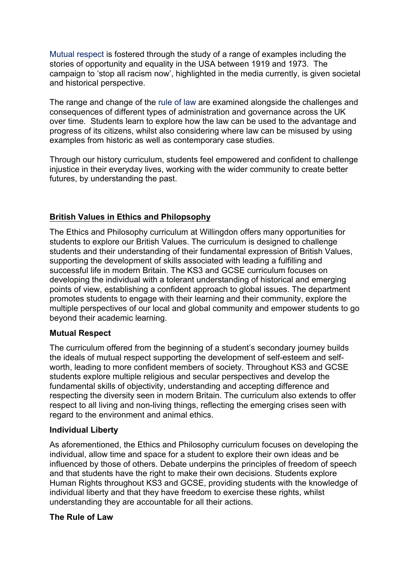Mutual respect is fostered through the study of a range of examples including the stories of opportunity and equality in the USA between 1919 and 1973. The campaign to 'stop all racism now', highlighted in the media currently, is given societal and historical perspective.

The range and change of the rule of law are examined alongside the challenges and consequences of different types of administration and governance across the UK over time. Students learn to explore how the law can be used to the advantage and progress of its citizens, whilst also considering where law can be misused by using examples from historic as well as contemporary case studies.

Through our history curriculum, students feel empowered and confident to challenge injustice in their everyday lives, working with the wider community to create better futures, by understanding the past.

## **British Values in Ethics and Philopsophy**

The Ethics and Philosophy curriculum at Willingdon offers many opportunities for students to explore our British Values. The curriculum is designed to challenge students and their understanding of their fundamental expression of British Values, supporting the development of skills associated with leading a fulfilling and successful life in modern Britain. The KS3 and GCSE curriculum focuses on developing the individual with a tolerant understanding of historical and emerging points of view, establishing a confident approach to global issues. The department promotes students to engage with their learning and their community, explore the multiple perspectives of our local and global community and empower students to go beyond their academic learning.

### **Mutual Respect**

The curriculum offered from the beginning of a student's secondary journey builds the ideals of mutual respect supporting the development of self-esteem and selfworth, leading to more confident members of society. Throughout KS3 and GCSE students explore multiple religious and secular perspectives and develop the fundamental skills of objectivity, understanding and accepting difference and respecting the diversity seen in modern Britain. The curriculum also extends to offer respect to all living and non-living things, reflecting the emerging crises seen with regard to the environment and animal ethics.

#### **Individual Liberty**

As aforementioned, the Ethics and Philosophy curriculum focuses on developing the individual, allow time and space for a student to explore their own ideas and be influenced by those of others. Debate underpins the principles of freedom of speech and that students have the right to make their own decisions. Students explore Human Rights throughout KS3 and GCSE, providing students with the knowledge of individual liberty and that they have freedom to exercise these rights, whilst understanding they are accountable for all their actions.

#### **The Rule of Law**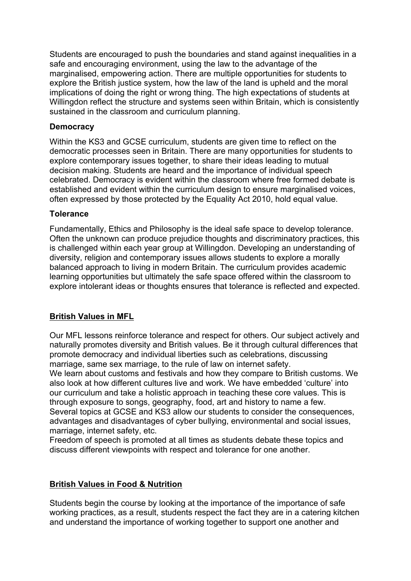Students are encouraged to push the boundaries and stand against inequalities in a safe and encouraging environment, using the law to the advantage of the marginalised, empowering action. There are multiple opportunities for students to explore the British justice system, how the law of the land is upheld and the moral implications of doing the right or wrong thing. The high expectations of students at Willingdon reflect the structure and systems seen within Britain, which is consistently sustained in the classroom and curriculum planning.

## **Democracy**

Within the KS3 and GCSE curriculum, students are given time to reflect on the democratic processes seen in Britain. There are many opportunities for students to explore contemporary issues together, to share their ideas leading to mutual decision making. Students are heard and the importance of individual speech celebrated. Democracy is evident within the classroom where free formed debate is established and evident within the curriculum design to ensure marginalised voices, often expressed by those protected by the Equality Act 2010, hold equal value.

## **Tolerance**

Fundamentally, Ethics and Philosophy is the ideal safe space to develop tolerance. Often the unknown can produce prejudice thoughts and discriminatory practices, this is challenged within each year group at Willingdon. Developing an understanding of diversity, religion and contemporary issues allows students to explore a morally balanced approach to living in modern Britain. The curriculum provides academic learning opportunities but ultimately the safe space offered within the classroom to explore intolerant ideas or thoughts ensures that tolerance is reflected and expected.

## **British Values in MFL**

Our MFL lessons reinforce tolerance and respect for others. Our subject actively and naturally promotes diversity and British values. Be it through cultural differences that promote democracy and individual liberties such as celebrations, discussing marriage, same sex marriage, to the rule of law on internet safety.

We learn about customs and festivals and how they compare to British customs. We also look at how different cultures live and work. We have embedded 'culture' into our curriculum and take a holistic approach in teaching these core values. This is through exposure to songs, geography, food, art and history to name a few. Several topics at GCSE and KS3 allow our students to consider the consequences, advantages and disadvantages of cyber bullying, environmental and social issues, marriage, internet safety, etc.

Freedom of speech is promoted at all times as students debate these topics and discuss different viewpoints with respect and tolerance for one another.

## **British Values in Food & Nutrition**

Students begin the course by looking at the importance of the importance of safe working practices, as a result, students respect the fact they are in a catering kitchen and understand the importance of working together to support one another and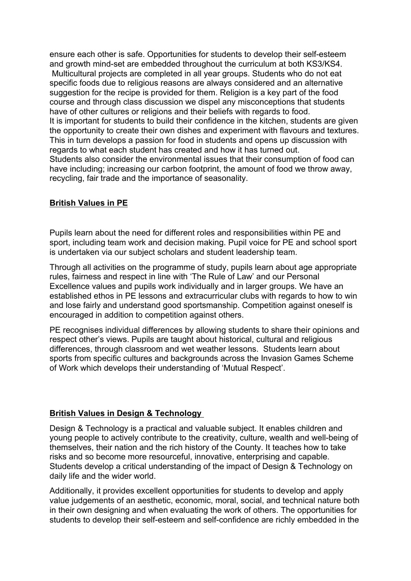ensure each other is safe. Opportunities for students to develop their self-esteem and growth mind-set are embedded throughout the curriculum at both KS3/KS4. Multicultural projects are completed in all year groups. Students who do not eat specific foods due to religious reasons are always considered and an alternative suggestion for the recipe is provided for them. Religion is a key part of the food course and through class discussion we dispel any misconceptions that students have of other cultures or religions and their beliefs with regards to food. It is important for students to build their confidence in the kitchen, students are given the opportunity to create their own dishes and experiment with flavours and textures. This in turn develops a passion for food in students and opens up discussion with regards to what each student has created and how it has turned out. Students also consider the environmental issues that their consumption of food can have including; increasing our carbon footprint, the amount of food we throw away, recycling, fair trade and the importance of seasonality.

#### **British Values in PE**

Pupils learn about the need for different roles and responsibilities within PE and sport, including team work and decision making. Pupil voice for PE and school sport is undertaken via our subject scholars and student leadership team.

Through all activities on the programme of study, pupils learn about age appropriate rules, fairness and respect in line with 'The Rule of Law' and our Personal Excellence values and pupils work individually and in larger groups. We have an established ethos in PE lessons and extracurricular clubs with regards to how to win and lose fairly and understand good sportsmanship. Competition against oneself is encouraged in addition to competition against others.

PE recognises individual differences by allowing students to share their opinions and respect other's views. Pupils are taught about historical, cultural and religious differences, through classroom and wet weather lessons. Students learn about sports from specific cultures and backgrounds across the Invasion Games Scheme of Work which develops their understanding of 'Mutual Respect'.

#### **British Values in Design & Technology**

Design & Technology is a practical and valuable subject. It enables children and young people to actively contribute to the creativity, culture, wealth and well-being of themselves, their nation and the rich history of the County. It teaches how to take risks and so become more resourceful, innovative, enterprising and capable. Students develop a critical understanding of the impact of Design & Technology on daily life and the wider world.

Additionally, it provides excellent opportunities for students to develop and apply value judgements of an aesthetic, economic, moral, social, and technical nature both in their own designing and when evaluating the work of others. The opportunities for students to develop their self-esteem and self-confidence are richly embedded in the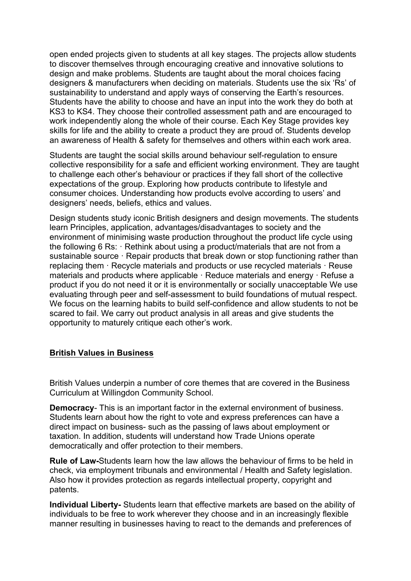open ended projects given to students at all key stages. The projects allow students to discover themselves through encouraging creative and innovative solutions to design and make problems. Students are taught about the moral choices facing designers & manufacturers when deciding on materials. Students use the six 'Rs' of sustainability to understand and apply ways of conserving the Earth's resources. Students have the ability to choose and have an input into the work they do both at KS3 to KS4. They choose their controlled assessment path and are encouraged to work independently along the whole of their course. Each Key Stage provides key skills for life and the ability to create a product they are proud of. Students develop an awareness of Health & safety for themselves and others within each work area.

Students are taught the social skills around behaviour self-regulation to ensure collective responsibility for a safe and efficient working environment. They are taught to challenge each other's behaviour or practices if they fall short of the collective expectations of the group. Exploring how products contribute to lifestyle and consumer choices. Understanding how products evolve according to users' and designers' needs, beliefs, ethics and values.

Design students study iconic British designers and design movements. The students learn Principles, application, advantages/disadvantages to society and the environment of minimising waste production throughout the product life cycle using the following 6 Rs: · Rethink about using a product/materials that are not from a sustainable source · Repair products that break down or stop functioning rather than replacing them · Recycle materials and products or use recycled materials · Reuse materials and products where applicable · Reduce materials and energy · Refuse a product if you do not need it or it is environmentally or socially unacceptable We use evaluating through peer and self-assessment to build foundations of mutual respect. We focus on the learning habits to build self-confidence and allow students to not be scared to fail. We carry out product analysis in all areas and give students the opportunity to maturely critique each other's work.

### **British Values in Business**

British Values underpin a number of core themes that are covered in the Business Curriculum at Willingdon Community School.

**Democracy**- This is an important factor in the external environment of business. Students learn about how the right to vote and express preferences can have a direct impact on business- such as the passing of laws about employment or taxation. In addition, students will understand how Trade Unions operate democratically and offer protection to their members.

**Rule of Law-**Students learn how the law allows the behaviour of firms to be held in check, via employment tribunals and environmental / Health and Safety legislation. Also how it provides protection as regards intellectual property, copyright and patents.

**Individual Liberty-** Students learn that effective markets are based on the ability of individuals to be free to work wherever they choose and in an increasingly flexible manner resulting in businesses having to react to the demands and preferences of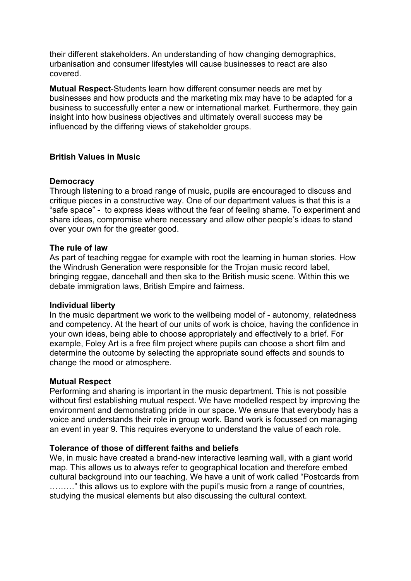their different stakeholders. An understanding of how changing demographics, urbanisation and consumer lifestyles will cause businesses to react are also covered.

**Mutual Respect**-Students learn how different consumer needs are met by businesses and how products and the marketing mix may have to be adapted for a business to successfully enter a new or international market. Furthermore, they gain insight into how business objectives and ultimately overall success may be influenced by the differing views of stakeholder groups.

### **British Values in Music**

#### **Democracy**

Through listening to a broad range of music, pupils are encouraged to discuss and critique pieces in a constructive way. One of our department values is that this is a "safe space" - to express ideas without the fear of feeling shame. To experiment and share ideas, compromise where necessary and allow other people's ideas to stand over your own for the greater good.

#### **The rule of law**

As part of teaching reggae for example with root the learning in human stories. How the Windrush Generation were responsible for the Trojan music record label, bringing reggae, dancehall and then ska to the British music scene. Within this we debate immigration laws, British Empire and fairness.

#### **Individual liberty**

In the music department we work to the wellbeing model of - autonomy, relatedness and competency. At the heart of our units of work is choice, having the confidence in your own ideas, being able to choose appropriately and effectively to a brief. For example, Foley Art is a free film project where pupils can choose a short film and determine the outcome by selecting the appropriate sound effects and sounds to change the mood or atmosphere.

### **Mutual Respect**

Performing and sharing is important in the music department. This is not possible without first establishing mutual respect. We have modelled respect by improving the environment and demonstrating pride in our space. We ensure that everybody has a voice and understands their role in group work. Band work is focussed on managing an event in year 9. This requires everyone to understand the value of each role.

### **Tolerance of those of different faiths and beliefs**

We, in music have created a brand-new interactive learning wall, with a giant world map. This allows us to always refer to geographical location and therefore embed cultural background into our teaching. We have a unit of work called "Postcards from ………" this allows us to explore with the pupil's music from a range of countries, studying the musical elements but also discussing the cultural context.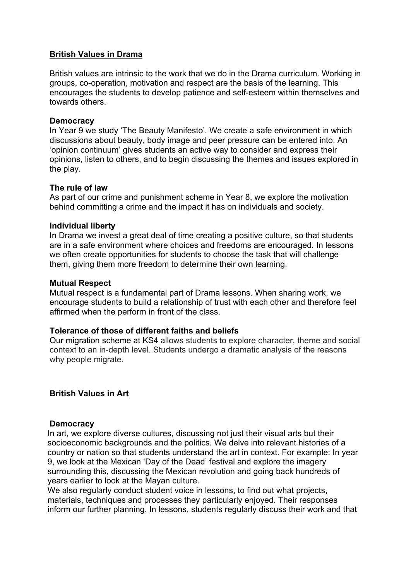## **British Values in Drama**

British values are intrinsic to the work that we do in the Drama curriculum. Working in groups, co-operation, motivation and respect are the basis of the learning. This encourages the students to develop patience and self-esteem within themselves and towards others.

#### **Democracy**

In Year 9 we study 'The Beauty Manifesto'. We create a safe environment in which discussions about beauty, body image and peer pressure can be entered into. An 'opinion continuum' gives students an active way to consider and express their opinions, listen to others, and to begin discussing the themes and issues explored in the play.

#### **The rule of law**

As part of our crime and punishment scheme in Year 8, we explore the motivation behind committing a crime and the impact it has on individuals and society.

#### **Individual liberty**

In Drama we invest a great deal of time creating a positive culture, so that students are in a safe environment where choices and freedoms are encouraged. In lessons we often create opportunities for students to choose the task that will challenge them, giving them more freedom to determine their own learning.

#### **Mutual Respect**

Mutual respect is a fundamental part of Drama lessons. When sharing work, we encourage students to build a relationship of trust with each other and therefore feel affirmed when the perform in front of the class.

### **Tolerance of those of different faiths and beliefs**

Our migration scheme at KS4 allows students to explore character, theme and social context to an in-depth level. Students undergo a dramatic analysis of the reasons why people migrate.

### **British Values in Art**

#### **Democracy**

In art, we explore diverse cultures, discussing not just their visual arts but their socioeconomic backgrounds and the politics. We delve into relevant histories of a country or nation so that students understand the art in context. For example: In year 9, we look at the Mexican 'Day of the Dead' festival and explore the imagery surrounding this, discussing the Mexican revolution and going back hundreds of years earlier to look at the Mayan culture.

We also regularly conduct student voice in lessons, to find out what projects, materials, techniques and processes they particularly enjoyed. Their responses inform our further planning. In lessons, students regularly discuss their work and that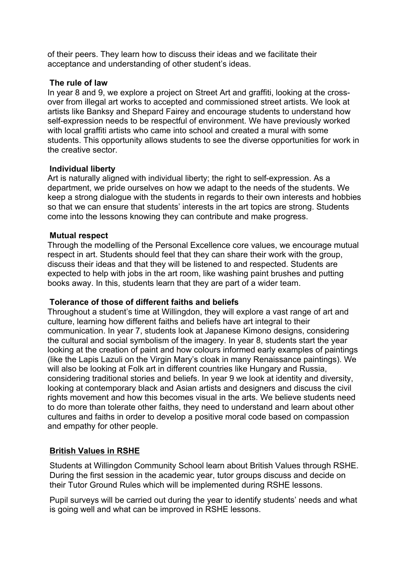of their peers. They learn how to discuss their ideas and we facilitate their acceptance and understanding of other student's ideas.

### **The rule of law**

In year 8 and 9, we explore a project on Street Art and graffiti, looking at the crossover from illegal art works to accepted and commissioned street artists. We look at artists like Banksy and Shepard Fairey and encourage students to understand how self-expression needs to be respectful of environment. We have previously worked with local graffiti artists who came into school and created a mural with some students. This opportunity allows students to see the diverse opportunities for work in the creative sector.

#### **Individual liberty**

Art is naturally aligned with individual liberty; the right to self-expression. As a department, we pride ourselves on how we adapt to the needs of the students. We keep a strong dialogue with the students in regards to their own interests and hobbies so that we can ensure that students' interests in the art topics are strong. Students come into the lessons knowing they can contribute and make progress.

### **Mutual respect**

Through the modelling of the Personal Excellence core values, we encourage mutual respect in art. Students should feel that they can share their work with the group, discuss their ideas and that they will be listened to and respected. Students are expected to help with jobs in the art room, like washing paint brushes and putting books away. In this, students learn that they are part of a wider team.

### **Tolerance of those of different faiths and beliefs**

Throughout a student's time at Willingdon, they will explore a vast range of art and culture, learning how different faiths and beliefs have art integral to their communication. In year 7, students look at Japanese Kimono designs, considering the cultural and social symbolism of the imagery. In year 8, students start the year looking at the creation of paint and how colours informed early examples of paintings (like the Lapis Lazuli on the Virgin Mary's cloak in many Renaissance paintings). We will also be looking at Folk art in different countries like Hungary and Russia, considering traditional stories and beliefs. In year 9 we look at identity and diversity, looking at contemporary black and Asian artists and designers and discuss the civil rights movement and how this becomes visual in the arts. We believe students need to do more than tolerate other faiths, they need to understand and learn about other cultures and faiths in order to develop a positive moral code based on compassion and empathy for other people.

## **British Values in RSHE**

Students at Willingdon Community School learn about British Values through RSHE. During the first session in the academic year, tutor groups discuss and decide on their Tutor Ground Rules which will be implemented during RSHE lessons.

Pupil surveys will be carried out during the year to identify students' needs and what is going well and what can be improved in RSHE lessons.